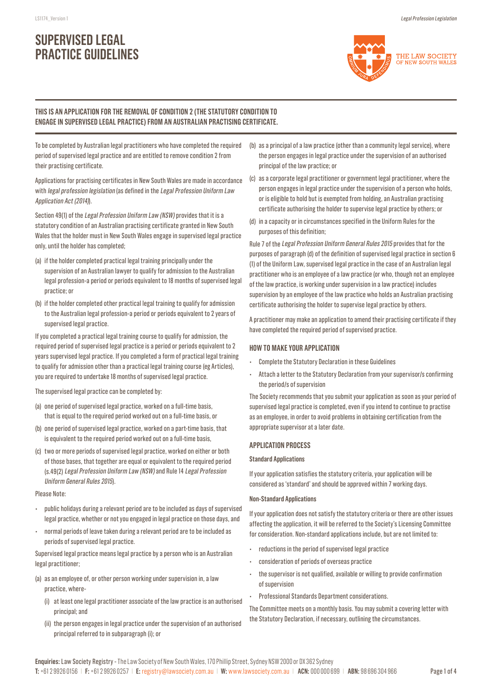# **SUPERVISED LEGAL PRACTICE GUIDELINES**



### **THIS IS AN APPLICATION FOR THE REMOVAL OF CONDITION 2 (THE STATUTORY CONDITION TO ENGAGE IN SUPERVISED LEGAL PRACTICE) FROM AN AUSTRALIAN PRACTISING CERTIFICATE.**

To be completed by Australian legal practitioners who have completed the required period of supervised legal practice and are entitled to remove condition 2 from their practising certificate.

Applications for practising certificates in New South Wales are made in accordance with *legal profession legislation* (as defined in the *Legal Profession Uniform Law* Application Act (2014)).

Section 49(1) of the Legal Profession Uniform Law (NSW) provides that it is a statutory condition of an Australian practising certificate granted in New South Wales that the holder must in New South Wales engage in supervised legal practice only, until the holder has completed;

- (a) if the holder completed practical legal training principally under the supervision of an Australian lawyer to qualify for admission to the Australian legal profession-a period or periods equivalent to 18 months of supervised legal practice; or
- (b) if the holder completed other practical legal training to qualify for admission to the Australian legal profession-a period or periods equivalent to 2 years of supervised legal practice.

If you completed a practical legal training course to qualify for admission, the required period of supervised legal practice is a period or periods equivalent to 2 years supervised legal practice. If you completed a form of practical legal training to qualify for admission other than a practical legal training course (eg Articles), you are required to undertake 18 months of supervised legal practice.

The supervised legal practice can be completed by:

- (a) one period of supervised legal practice, worked on a full-time basis, that is equal to the required period worked out on a full-time basis, or
- (b) one period of supervised legal practice, worked on a part-time basis, that is equivalent to the required period worked out on a full-time basis,
- (c) two or more periods of supervised legal practice, worked on either or both of those bases, that together are equal or equivalent to the required period (s.49(2) Legal Profession Uniform Law (NSW) and Rule 14 Legal Profession Uniform General Rules 2015).

#### Please Note:

- public holidays during a relevant period are to be included as days of supervised legal practice, whether or not you engaged in legal practice on those days, and
- normal periods of leave taken during a relevant period are to be included as periods of supervised legal practice.

Supervised legal practice means legal practice by a person who is an Australian legal practitioner;

- (a) as an employee of, or other person working under supervision in, a law practice, where-
	- (i) at least one legal practitioner associate of the law practice is an authorised principal; and
	- (ii) the person engages in legal practice under the supervision of an authorised principal referred to in subparagraph (i); or
- (b) as a principal of a law practice (other than a community legal service), where the person engages in legal practice under the supervision of an authorised principal of the law practice; or
- (c) as a corporate legal practitioner or government legal practitioner, where the person engages in legal practice under the supervision of a person who holds, or is eligible to hold but is exempted from holding, an Australian practising certificate authorising the holder to supervise legal practice by others; or
- (d) in a capacity or in circumstances specified in the Uniform Rules for the purposes of this definition;

Rule 7 of the Legal Profession Uniform General Rules 2015 provides that for the purposes of paragraph (d) of the definition of supervised legal practice in section 6 (1) of the Uniform Law, supervised legal practice in the case of an Australian legal practitioner who is an employee of a law practice (or who, though not an employee of the law practice, is working under supervision in a law practice) includes supervision by an employee of the law practice who holds an Australian practising certificate authorising the holder to supervise legal practice by others.

A practitioner may make an application to amend their practising certificate if they have completed the required period of supervised practice.

#### **HOW TO MAKE YOUR APPLICATION**

- Complete the Statutory Declaration in these Guidelines
- Attach a letter to the Statutory Declaration from your supervisor/s confirming the period/s of supervision

The Society recommends that you submit your application as soon as your period of supervised legal practice is completed, even if you intend to continue to practise as an employee, in order to avoid problems in obtaining certification from the appropriate supervisor at a later date.

#### **APPLICATION PROCESS**

#### **Standard Applications**

If your application satisfies the statutory criteria, your application will be considered as 'standard' and should be approved within 7 working days.

#### **Non-Standard Applications**

If your application does not satisfy the statutory criteria or there are other issues affecting the application, it will be referred to the Society's Licensing Committee for consideration. Non-standard applications include, but are not limited to:

- reductions in the period of supervised legal practice
- consideration of periods of overseas practice
- the supervisor is not qualified, available or willing to provide confirmation of supervision
- Professional Standards Department considerations.

The Committee meets on a monthly basis. You may submit a covering letter with the Statutory Declaration, if necessary, outlining the circumstances.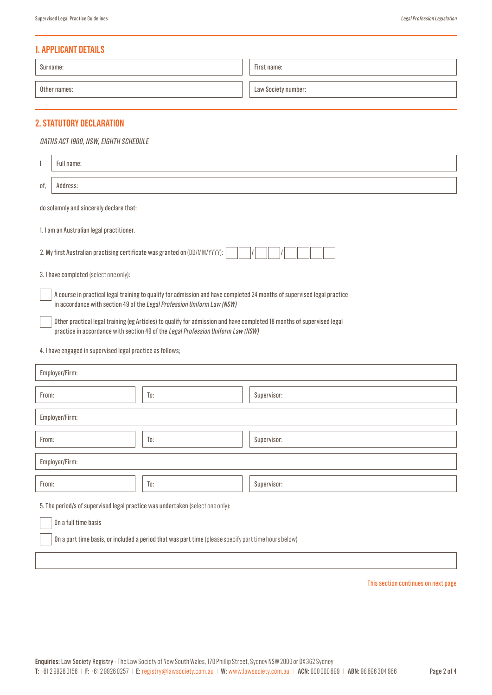## **1. APPLICANT DETAILS**

| Surname:     | First name:         |
|--------------|---------------------|
| Other names: | Law Society number: |

# **2. STATUTORY DECLARATION**

#### OATHS ACT 1900, NSW, EIGHTH SCHEDULE

| $\overline{\phantom{a}}$                                                                                                                                                                                   | Full name:                                                                                                                                                                                         |     |  |             |
|------------------------------------------------------------------------------------------------------------------------------------------------------------------------------------------------------------|----------------------------------------------------------------------------------------------------------------------------------------------------------------------------------------------------|-----|--|-------------|
| of,                                                                                                                                                                                                        | Address:                                                                                                                                                                                           |     |  |             |
|                                                                                                                                                                                                            | do solemnly and sincerely declare that:                                                                                                                                                            |     |  |             |
|                                                                                                                                                                                                            | 1. I am an Australian legal practitioner.                                                                                                                                                          |     |  |             |
|                                                                                                                                                                                                            | 2. My first Australian practising certificate was granted on (DD/MM/YYYY):                                                                                                                         |     |  |             |
|                                                                                                                                                                                                            | 3. I have completed (select one only):                                                                                                                                                             |     |  |             |
|                                                                                                                                                                                                            | A course in practical legal training to qualify for admission and have completed 24 months of supervised legal practice<br>in accordance with section 49 of the Legal Profession Uniform Law (NSW) |     |  |             |
| Other practical legal training (eg Articles) to qualify for admission and have completed 18 months of supervised legal<br>practice in accordance with section 49 of the Legal Profession Uniform Law (NSW) |                                                                                                                                                                                                    |     |  |             |
| 4. I have engaged in supervised legal practice as follows;                                                                                                                                                 |                                                                                                                                                                                                    |     |  |             |
| Employer/Firm:                                                                                                                                                                                             |                                                                                                                                                                                                    |     |  |             |
| From:                                                                                                                                                                                                      |                                                                                                                                                                                                    | To: |  | Supervisor: |
| Employer/Firm:                                                                                                                                                                                             |                                                                                                                                                                                                    |     |  |             |
| From:                                                                                                                                                                                                      |                                                                                                                                                                                                    | To: |  | Supervisor: |
| Employer/Firm:                                                                                                                                                                                             |                                                                                                                                                                                                    |     |  |             |
| From:                                                                                                                                                                                                      |                                                                                                                                                                                                    | To: |  | Supervisor: |
| 5. The period/s of supervised legal practice was undertaken (select one only):                                                                                                                             |                                                                                                                                                                                                    |     |  |             |
| On a full time basis                                                                                                                                                                                       |                                                                                                                                                                                                    |     |  |             |
| On a part time basis, or included a period that was part time (please specify part time hours below)                                                                                                       |                                                                                                                                                                                                    |     |  |             |
|                                                                                                                                                                                                            |                                                                                                                                                                                                    |     |  |             |

This section continues on next page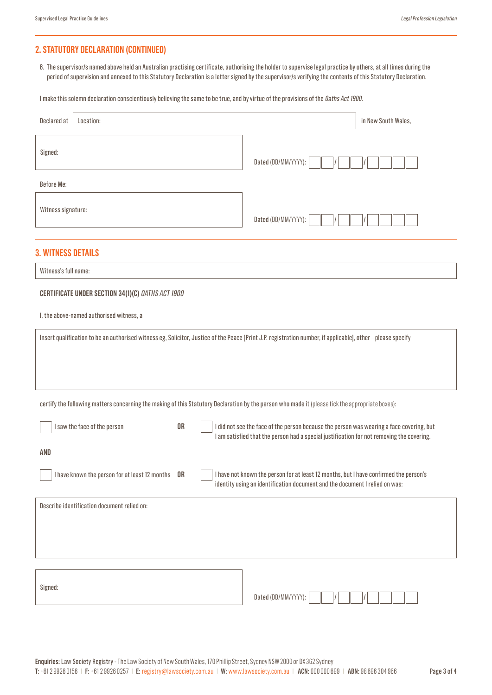# **2. STATUTORY DECLARATION (CONTINUED)**

6. The supervisor/s named above held an Australian practising certificate, authorising the holder to supervise legal practice by others, at all times during the period of supervision and annexed to this Statutory Declaration is a letter signed by the supervisor/s verifying the contents of this Statutory Declaration.

I make this solemn declaration conscientiously believing the same to be true, and by virtue of the provisions of the *Daths Act 1900*.

| Declared at<br>Location:                                                                                                                                     | in New South Wales,                                                                                                                                                                   |
|--------------------------------------------------------------------------------------------------------------------------------------------------------------|---------------------------------------------------------------------------------------------------------------------------------------------------------------------------------------|
| Signed:                                                                                                                                                      | Dated (DD/MM/YYYY):                                                                                                                                                                   |
| <b>Before Me:</b>                                                                                                                                            |                                                                                                                                                                                       |
| Witness signature:                                                                                                                                           | Dated (DD/MM/YYYY):                                                                                                                                                                   |
| <b>3. WITNESS DETAILS</b>                                                                                                                                    |                                                                                                                                                                                       |
| Witness's full name:                                                                                                                                         |                                                                                                                                                                                       |
| CERTIFICATE UNDER SECTION 34(1)(C) OATHS ACT 1900                                                                                                            |                                                                                                                                                                                       |
| I, the above-named authorised witness, a                                                                                                                     |                                                                                                                                                                                       |
| Insert qualification to be an authorised witness eg, Solicitor, Justice of the Peace [Print J.P. registration number, if applicable], other - please specify |                                                                                                                                                                                       |
| certify the following matters concerning the making of this Statutory Declaration by the person who made it (please tick the appropriate boxes):             |                                                                                                                                                                                       |
| <b>OR</b><br>I saw the face of the person                                                                                                                    | I did not see the face of the person because the person was wearing a face covering, but<br>I am satisfied that the person had a special justification for not removing the covering. |
| <b>AND</b>                                                                                                                                                   |                                                                                                                                                                                       |
| I have known the person for at least 12 months<br><b>OR</b>                                                                                                  | I have not known the person for at least 12 months, but I have confirmed the person's<br>identity using an identification document and the document I relied on was:                  |
| Describe identification document relied on:                                                                                                                  |                                                                                                                                                                                       |
|                                                                                                                                                              |                                                                                                                                                                                       |
| Signed:                                                                                                                                                      | Dated (DD/MM/YYYY):                                                                                                                                                                   |